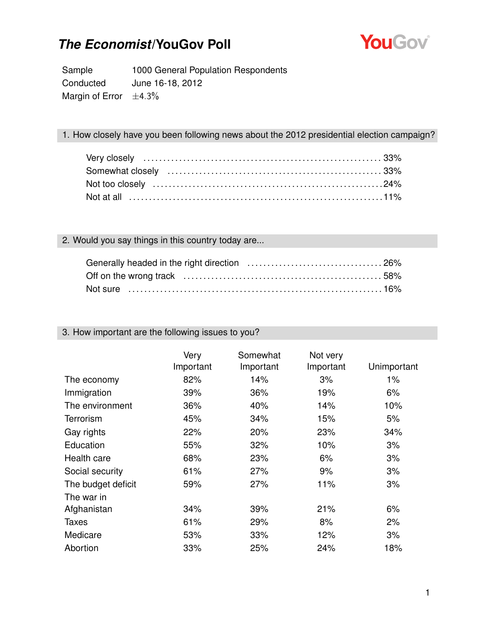

Sample 1000 General Population Respondents Conducted June 16-18, 2012 Margin of Error  $\pm 4.3\%$ 

#### 1. How closely have you been following news about the 2012 presidential election campaign?

#### 2. Would you say things in this country today are...

| Not sure …………………………………………………………………16% |  |
|---------------------------------------|--|

#### 3. How important are the following issues to you?

|                    | Very<br>Important | Somewhat<br>Important | Not very<br>Important | Unimportant |
|--------------------|-------------------|-----------------------|-----------------------|-------------|
| The economy        | 82%               | 14%                   | 3%                    | 1%          |
| Immigration        | 39%               | 36%                   | 19%                   | 6%          |
| The environment    | 36%               | 40%                   | 14%                   | 10%         |
| <b>Terrorism</b>   | 45%               | 34%                   | 15%                   | 5%          |
| Gay rights         | 22%               | 20%                   | 23%                   | 34%         |
| Education          | 55%               | 32%                   | 10%                   | 3%          |
| Health care        | 68%               | 23%                   | 6%                    | 3%          |
| Social security    | 61%               | 27%                   | 9%                    | 3%          |
| The budget deficit | 59%               | 27%                   | 11%                   | 3%          |
| The war in         |                   |                       |                       |             |
| Afghanistan        | 34%               | 39%                   | 21%                   | 6%          |
| <b>Taxes</b>       | 61%               | 29%                   | 8%                    | 2%          |
| Medicare           | 53%               | 33%                   | 12%                   | 3%          |
| Abortion           | 33%               | 25%                   | 24%                   | 18%         |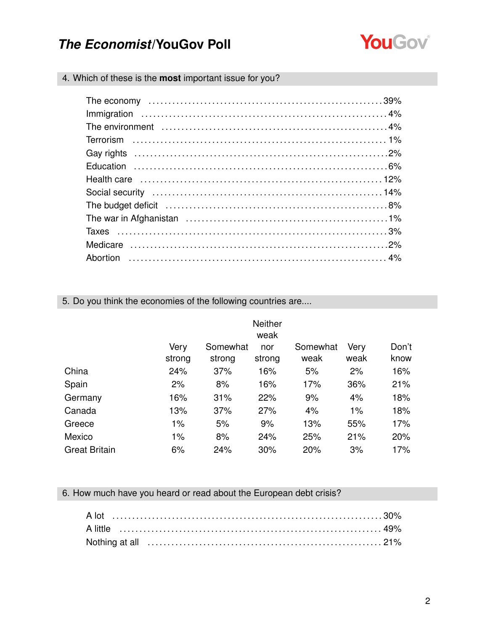

4. Which of these is the **most** important issue for you?

5. Do you think the economies of the following countries are....

|                      | <b>Neither</b><br>weak |                    |               |                  |              |               |
|----------------------|------------------------|--------------------|---------------|------------------|--------------|---------------|
|                      | Very<br>strong         | Somewhat<br>strong | nor<br>strong | Somewhat<br>weak | Very<br>weak | Don't<br>know |
| China                | 24%                    | 37%                | 16%           | 5%               | 2%           | 16%           |
| Spain                | 2%                     | 8%                 | 16%           | 17%              | 36%          | 21%           |
| Germany              | 16%                    | 31%                | 22%           | 9%               | 4%           | 18%           |
| Canada               | 13%                    | 37%                | 27%           | 4%               | 1%           | 18%           |
| Greece               | 1%                     | 5%                 | 9%            | 13%              | 55%          | 17%           |
| Mexico               | 1%                     | 8%                 | 24%           | 25%              | 21%          | 20%           |
| <b>Great Britain</b> | 6%                     | 24%                | 30%           | 20%              | 3%           | 17%           |

### 6. How much have you heard or read about the European debt crisis?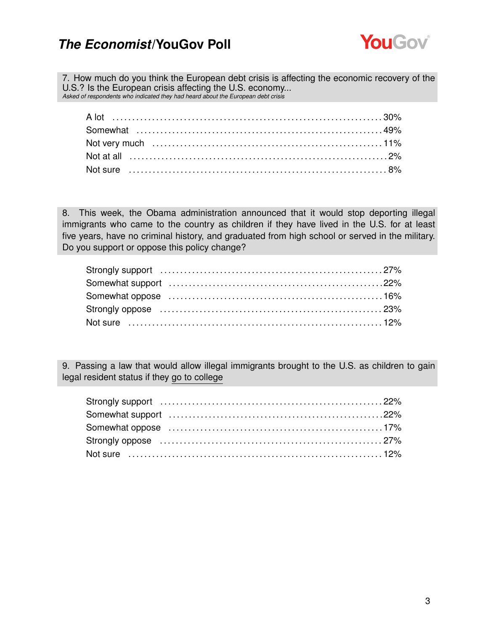

7. How much do you think the European debt crisis is affecting the economic recovery of the U.S.? Is the European crisis affecting the U.S. economy... *Asked of respondents who indicated they had heard about the European debt crisis*

A lot . . . . . . . . . . . . . . . . . . . . . . . . . . . . . . . . . . . . . . . . . . . . . . . . . . . . . . . . . . . . . . . . . . . . 30% Somewhat . . . . . . . . . . . . . . . . . . . . . . . . . . . . . . . . . . . . . . . . . . . . . . . . . . . . . . . . . . . . . . 49% Not very much . . . . . . . . . . . . . . . . . . . . . . . . . . . . . . . . . . . . . . . . . . . . . . . . . . . . . . . . . . 11% Not at all . . . . . . . . . . . . . . . . . . . . . . . . . . . . . . . . . . . . . . . . . . . . . . . . . . . . . . . . . . . . . . . . . 2% Not sure . . . . . . . . . . . . . . . . . . . . . . . . . . . . . . . . . . . . . . . . . . . . . . . . . . . . . . . . . . . . . . . . . 8%

8. This week, the Obama administration announced that it would stop deporting illegal immigrants who came to the country as children if they have lived in the U.S. for at least five years, have no criminal history, and graduated from high school or served in the military. Do you support or oppose this policy change?

9. Passing a law that would allow illegal immigrants brought to the U.S. as children to gain legal resident status if they go to college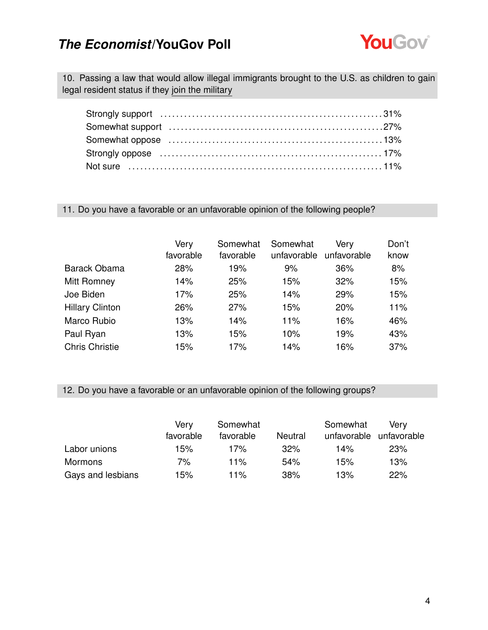

10. Passing a law that would allow illegal immigrants brought to the U.S. as children to gain legal resident status if they join the military

#### 11. Do you have a favorable or an unfavorable opinion of the following people?

|                        | Very<br>favorable | Somewhat<br>favorable | Somewhat<br>unfavorable | Very<br>unfavorable | Don't<br>know |
|------------------------|-------------------|-----------------------|-------------------------|---------------------|---------------|
| <b>Barack Obama</b>    | 28%               | 19%                   | 9%                      | 36%                 | 8%            |
| <b>Mitt Romney</b>     | 14%               | 25%                   | 15%                     | 32%                 | 15%           |
| Joe Biden              | 17%               | 25%                   | 14%                     | 29%                 | 15%           |
| <b>Hillary Clinton</b> | 26%               | 27%                   | 15%                     | 20%                 | 11%           |
| Marco Rubio            | 13%               | 14%                   | 11%                     | 16%                 | 46%           |
| Paul Ryan              | 13%               | 15%                   | 10%                     | 19%                 | 43%           |
| <b>Chris Christie</b>  | 15%               | 17%                   | 14%                     | 16%                 | 37%           |

#### 12. Do you have a favorable or an unfavorable opinion of the following groups?

|                   | Verv      | Somewhat  |         | Somewhat    | Verv        |
|-------------------|-----------|-----------|---------|-------------|-------------|
|                   | favorable | favorable | Neutral | unfavorable | unfavorable |
| Labor unions      | 15%       | 17%       | 32%     | 14%         | 23%         |
| Mormons           | 7%        | 11%       | 54%     | 15%         | 13%         |
| Gays and lesbians | 15%       | 11%       | 38%     | 13%         | 22%         |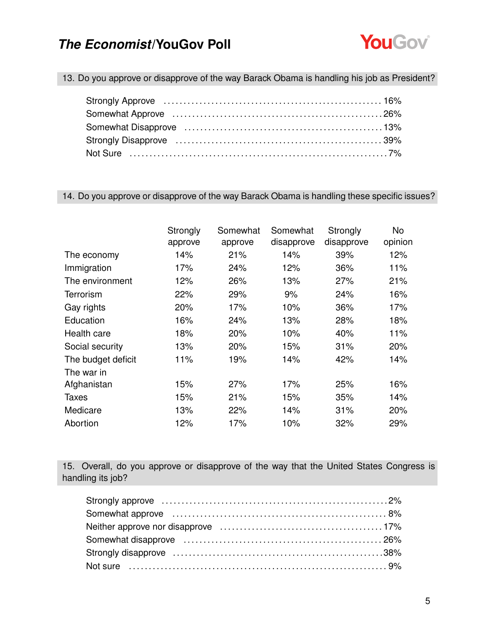

13. Do you approve or disapprove of the way Barack Obama is handling his job as President?

14. Do you approve or disapprove of the way Barack Obama is handling these specific issues?

|                    | Strongly | Somewhat | Somewhat   | Strongly   | No      |
|--------------------|----------|----------|------------|------------|---------|
|                    | approve  | approve  | disapprove | disapprove | opinion |
| The economy        | 14%      | 21%      | 14%        | 39%        | 12%     |
| Immigration        | 17%      | 24%      | 12%        | 36%        | 11%     |
| The environment    | 12%      | 26%      | 13%        | 27%        | 21%     |
| Terrorism          | 22%      | 29%      | 9%         | 24%        | 16%     |
| Gay rights         | 20%      | 17%      | 10%        | 36%        | 17%     |
| Education          | 16%      | 24%      | 13%        | 28%        | 18%     |
| Health care        | 18%      | 20%      | 10%        | 40%        | 11%     |
| Social security    | 13%      | 20%      | 15%        | 31%        | 20%     |
| The budget deficit | 11%      | 19%      | 14%        | 42%        | 14%     |
| The war in         |          |          |            |            |         |
| Afghanistan        | 15%      | 27%      | 17%        | 25%        | 16%     |
| <b>Taxes</b>       | 15%      | 21%      | 15%        | 35%        | 14%     |
| Medicare           | 13%      | 22%      | 14%        | 31%        | 20%     |
| Abortion           | 12%      | 17%      | 10%        | 32%        | 29%     |

15. Overall, do you approve or disapprove of the way that the United States Congress is handling its job?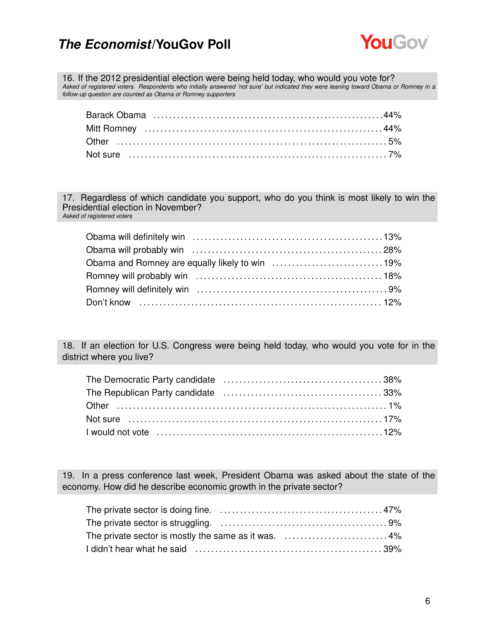

16. If the 2012 presidential election were being held today, who would you vote for? *Asked of registered voters. Respondents who initially answered 'not sure' but indicated they were leaning toward Obama or Romney in a follow-up question are counted as Obama or Romney supporters*

17. Regardless of which candidate you support, who do you think is most likely to win the Presidential election in November? *Asked of registered voters*

18. If an election for U.S. Congress were being held today, who would you vote for in the district where you live?

19. In a press conference last week, President Obama was asked about the state of the economy. How did he describe economic growth in the private sector?

| The private sector is mostly the same as it was. 4% |  |
|-----------------------------------------------------|--|
|                                                     |  |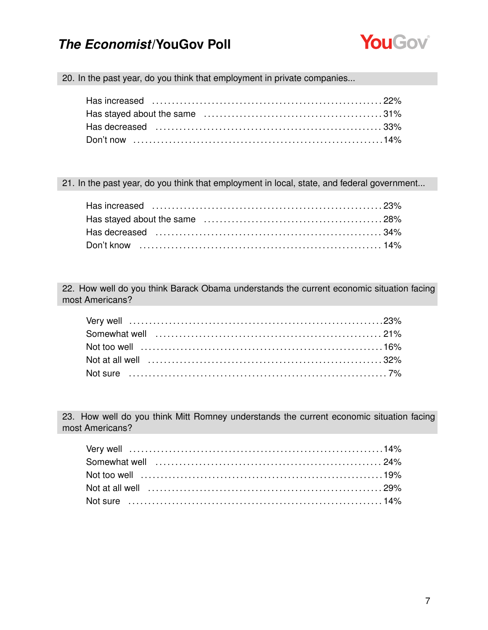

20. In the past year, do you think that employment in private companies...

21. In the past year, do you think that employment in local, state, and federal government...

22. How well do you think Barack Obama understands the current economic situation facing most Americans?

23. How well do you think Mitt Romney understands the current economic situation facing most Americans?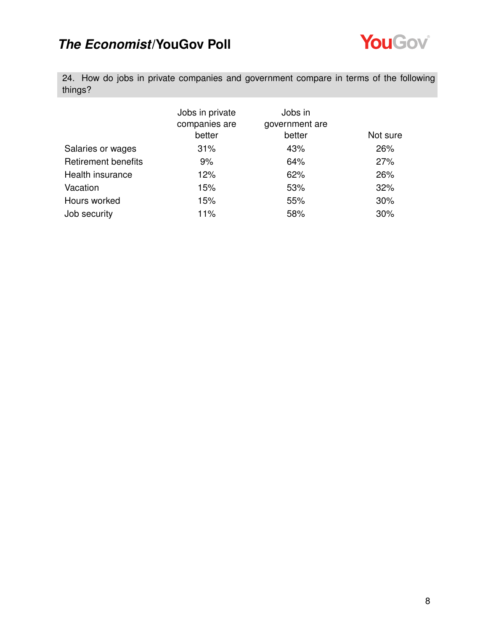

24. How do jobs in private companies and government compare in terms of the following things?

|                            | Jobs in private<br>companies are<br>better | Jobs in<br>government are<br>better | Not sure |
|----------------------------|--------------------------------------------|-------------------------------------|----------|
| Salaries or wages          | 31%                                        | 43%                                 | 26%      |
| <b>Retirement benefits</b> | 9%                                         | 64%                                 | 27%      |
| Health insurance           | 12%                                        | 62%                                 | 26%      |
| Vacation                   | 15%                                        | 53%                                 | 32%      |
| Hours worked               | 15%                                        | 55%                                 | 30%      |
| Job security               | 11%                                        | 58%                                 | 30%      |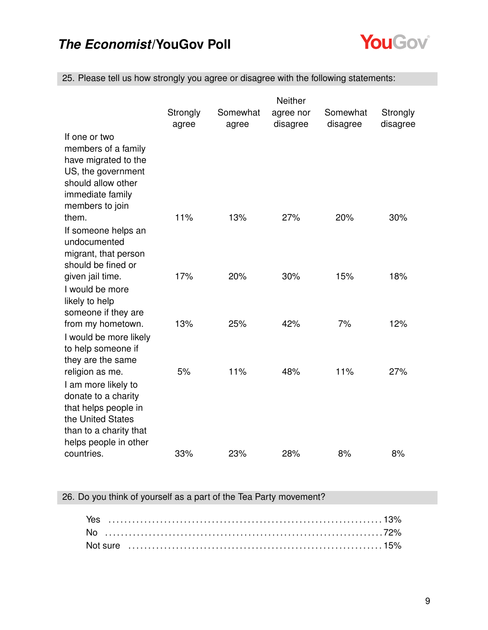

25. Please tell us how strongly you agree or disagree with the following statements:

|                                                                                                                                                               | Neither           |                   |                       |                      |                      |
|---------------------------------------------------------------------------------------------------------------------------------------------------------------|-------------------|-------------------|-----------------------|----------------------|----------------------|
|                                                                                                                                                               | Strongly<br>agree | Somewhat<br>agree | agree nor<br>disagree | Somewhat<br>disagree | Strongly<br>disagree |
| If one or two<br>members of a family<br>have migrated to the<br>US, the government<br>should allow other<br>immediate family<br>members to join               |                   |                   |                       |                      |                      |
| them.<br>If someone helps an<br>undocumented<br>migrant, that person<br>should be fined or                                                                    | 11%               | 13%               | 27%                   | 20%                  | 30%                  |
| given jail time.<br>I would be more<br>likely to help<br>someone if they are                                                                                  | 17%               | 20%               | 30%                   | 15%                  | 18%                  |
| from my hometown.<br>I would be more likely<br>to help someone if<br>they are the same                                                                        | 13%               | 25%               | 42%                   | 7%                   | 12%                  |
| religion as me.<br>I am more likely to<br>donate to a charity<br>that helps people in<br>the United States<br>than to a charity that<br>helps people in other | 5%                | 11%               | 48%                   | 11%                  | 27%                  |
| countries.                                                                                                                                                    | 33%               | 23%               | 28%                   | 8%                   | 8%                   |

### 26. Do you think of yourself as a part of the Tea Party movement?

| Yes |  |  |  |  |  |  |  |  |  |  |  |  |  |  |  |  |  |  |
|-----|--|--|--|--|--|--|--|--|--|--|--|--|--|--|--|--|--|--|
|     |  |  |  |  |  |  |  |  |  |  |  |  |  |  |  |  |  |  |
|     |  |  |  |  |  |  |  |  |  |  |  |  |  |  |  |  |  |  |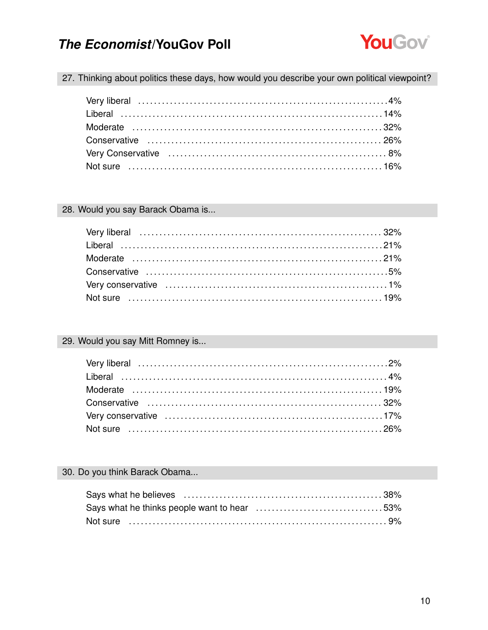

27. Thinking about politics these days, how would you describe your own political viewpoint?

#### 28. Would you say Barack Obama is...

### 29. Would you say Mitt Romney is...

### 30. Do you think Barack Obama...

| Says what he thinks people want to hear 53% |  |
|---------------------------------------------|--|
|                                             |  |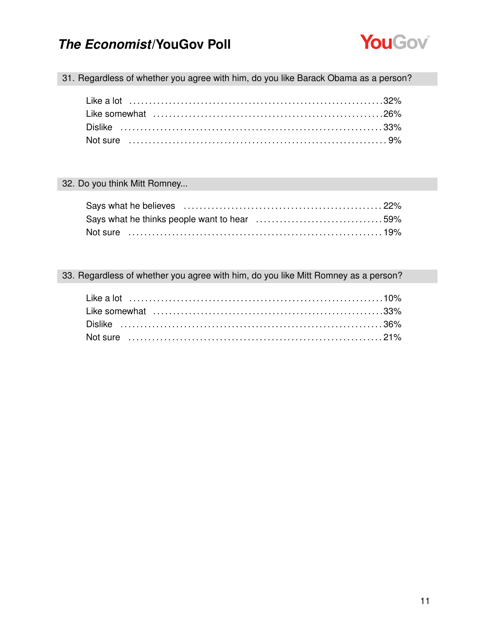

31. Regardless of whether you agree with him, do you like Barack Obama as a person?

### 32. Do you think Mitt Romney...

#### 33. Regardless of whether you agree with him, do you like Mitt Romney as a person?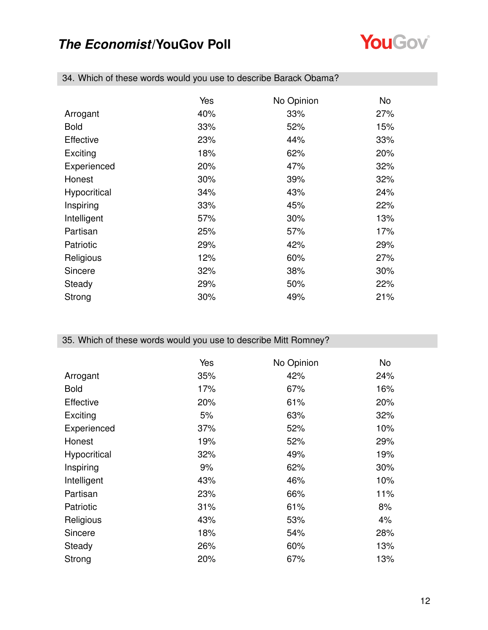

|                  | Yes | No Opinion | No. |
|------------------|-----|------------|-----|
| Arrogant         | 40% | 33%        | 27% |
| <b>Bold</b>      | 33% | 52%        | 15% |
| <b>Effective</b> | 23% | 44%        | 33% |
| Exciting         | 18% | 62%        | 20% |
| Experienced      | 20% | 47%        | 32% |
| Honest           | 30% | 39%        | 32% |
| Hypocritical     | 34% | 43%        | 24% |
| Inspiring        | 33% | 45%        | 22% |
| Intelligent      | 57% | 30%        | 13% |
| Partisan         | 25% | 57%        | 17% |
| Patriotic        | 29% | 42%        | 29% |
| Religious        | 12% | 60%        | 27% |
| Sincere          | 32% | 38%        | 30% |
| Steady           | 29% | 50%        | 22% |
| Strong           | 30% | 49%        | 21% |

34. Which of these words would you use to describe Barack Obama?

### 35. Which of these words would you use to describe Mitt Romney?

|              | Yes | No Opinion | No. |
|--------------|-----|------------|-----|
| Arrogant     | 35% | 42%        | 24% |
| <b>Bold</b>  | 17% | 67%        | 16% |
| Effective    | 20% | 61%        | 20% |
| Exciting     | 5%  | 63%        | 32% |
| Experienced  | 37% | 52%        | 10% |
| Honest       | 19% | 52%        | 29% |
| Hypocritical | 32% | 49%        | 19% |
| Inspiring    | 9%  | 62%        | 30% |
| Intelligent  | 43% | 46%        | 10% |
| Partisan     | 23% | 66%        | 11% |
| Patriotic    | 31% | 61%        | 8%  |
| Religious    | 43% | 53%        | 4%  |
| Sincere      | 18% | 54%        | 28% |
| Steady       | 26% | 60%        | 13% |
| Strong       | 20% | 67%        | 13% |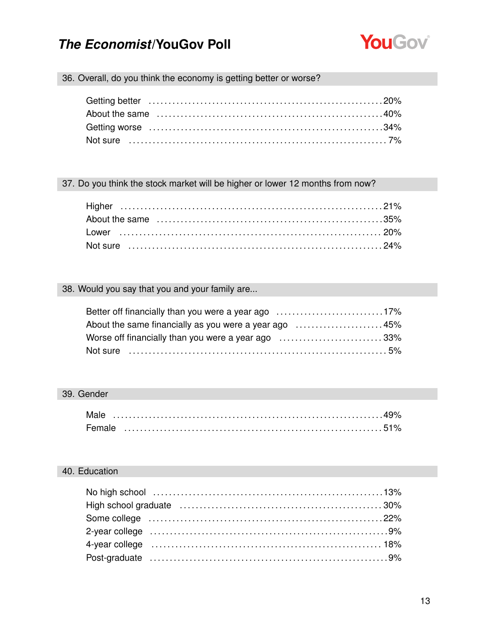

### 36. Overall, do you think the economy is getting better or worse?

#### 37. Do you think the stock market will be higher or lower 12 months from now?

### 38. Would you say that you and your family are...

| Better off financially than you were a year ago 17%   |  |
|-------------------------------------------------------|--|
| About the same financially as you were a year ago 45% |  |
| Worse off financially than you were a year ago 33%    |  |
|                                                       |  |

#### 39. Gender

| Male   |  |  |  |  |  |  |  |  |  |  |  |  |  |  |  |  |  |  |
|--------|--|--|--|--|--|--|--|--|--|--|--|--|--|--|--|--|--|--|
| Female |  |  |  |  |  |  |  |  |  |  |  |  |  |  |  |  |  |  |

### 40. Education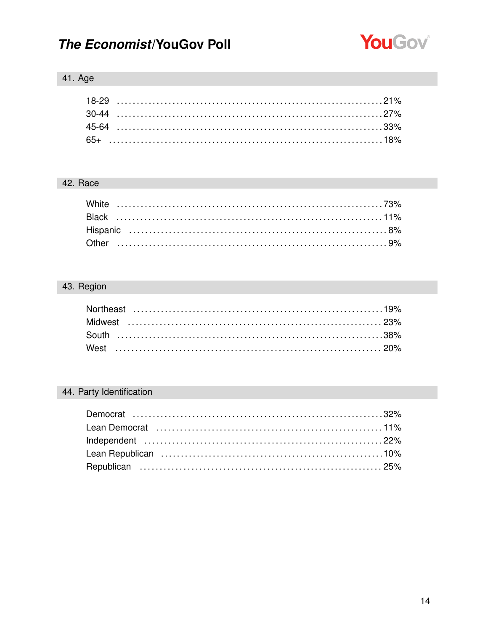

### 41. Age

### 42. Race

### 43. Region

### 44. Party Identification

| Lean Democrat (and all and all and all and all and an analyzing an algorithm and all and all and all and all a |  |
|----------------------------------------------------------------------------------------------------------------|--|
|                                                                                                                |  |
|                                                                                                                |  |
|                                                                                                                |  |